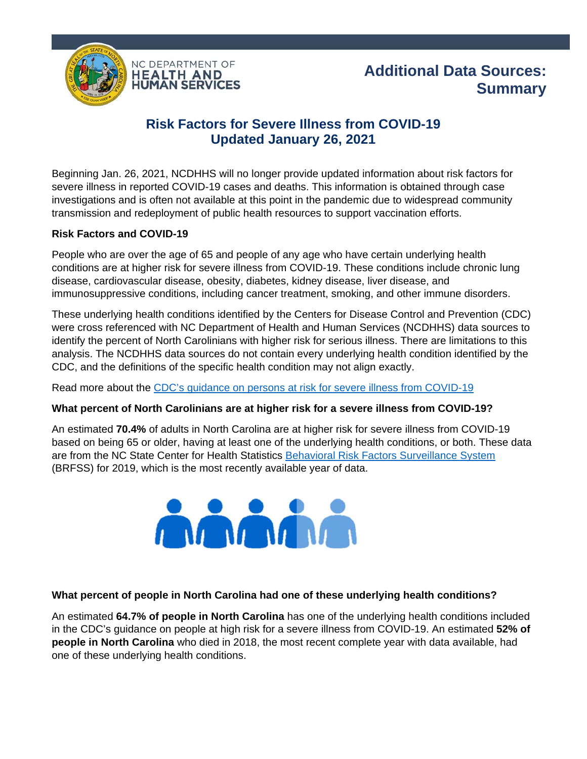



# **Risk Factors for Severe Illness from COVID-19 Updated January 26, 2021**

Beginning Jan. 26, 2021, NCDHHS will no longer provide updated information about risk factors for severe illness in reported COVID-19 cases and deaths. This information is obtained through case investigations and is often not available at this point in the pandemic due to widespread community transmission and redeployment of public health resources to support vaccination efforts.

#### **Risk Factors and COVID-19**

People who are over the age of 65 and people of any age who have certain underlying health conditions are at higher risk for severe illness from COVID-19. These conditions include chronic lung disease, cardiovascular disease, obesity, diabetes, kidney disease, liver disease, and immunosuppressive conditions, including cancer treatment, smoking, and other immune disorders.

These underlying health conditions identified by the Centers for Disease Control and Prevention (CDC) were cross referenced with NC Department of Health and Human Services (NCDHHS) data sources to identify the percent of North Carolinians with higher risk for serious illness. There are limitations to this analysis. The NCDHHS data sources do not contain every underlying health condition identified by the CDC, and the definitions of the specific health condition may not align exactly.

Read more about the CDC's guidance on persons at risk for severe illness from COVID-19

### **What percent of North Carolinians are at higher risk for a severe illness from COVID-19?**

An estimated **70.4%** of adults in North Carolina are at higher risk for severe illness from COVID-19 based on being 65 or older, having at least one of the underlying health conditions, or both. These data are from the NC State Center for Health Statistics Behavioral Risk Factors Surveillance System (BRFSS) for 2019, which is the most recently available year of data.



### **What percent of people in North Carolina had one of these underlying health conditions?**

An estimated **64.7% of people in North Carolina** has one of the underlying health conditions included in the CDC's guidance on people at high risk for a severe illness from COVID-19. An estimated **52% of people in North Carolina** who died in 2018, the most recent complete year with data available, had one of these underlying health conditions.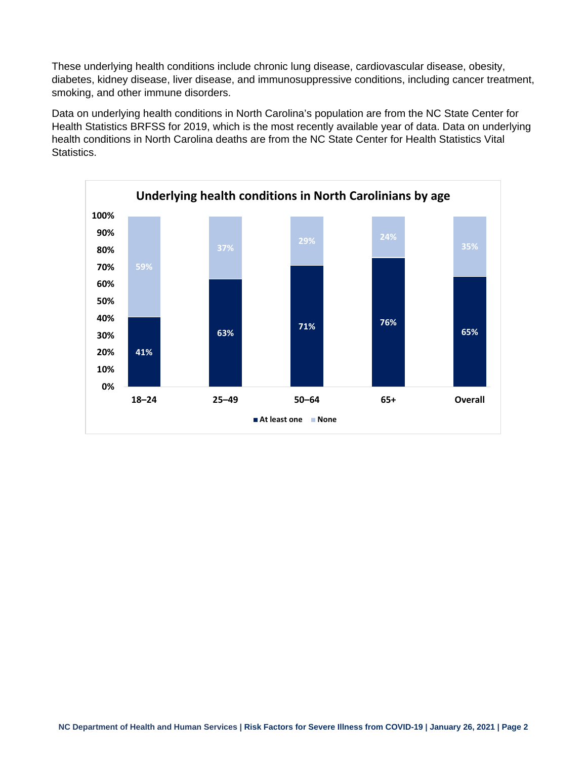These underlying health conditions include chronic lung disease, cardiovascular disease, obesity, diabetes, kidney disease, liver disease, and immunosuppressive conditions, including cancer treatment, smoking, and other immune disorders.

Data on underlying health conditions in North Carolina's population are from the NC State Center for Health Statistics BRFSS for 2019, which is the most recently available year of data. Data on underlying health conditions in North Carolina deaths are from the NC State Center for Health Statistics Vital **Statistics.**